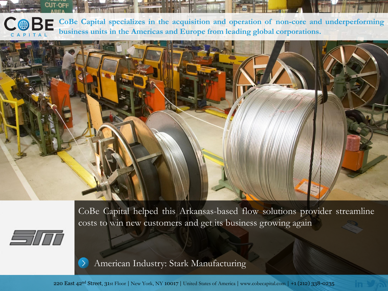**CoBe Capital specializes in the acquisition and operation of non-core and [underperforming](http://www.cobecapital.com/) business units in the Americas and Europe from leading global corporations.**



CoBe Capital helped this Arkansas-based flow solutions provider streamline costs to win new customers and get its business growing again

[American Industry: Stark Manufacturing](http://cobecapital.com/feature-stories/american-industry-stark-manufacturing)

220 East 42nd Street, 31st Floor | New York, NY 10017 | United States of America | [www.cobecapital.com](http://www.cobecapital.com/) | +1 (212) 338-0235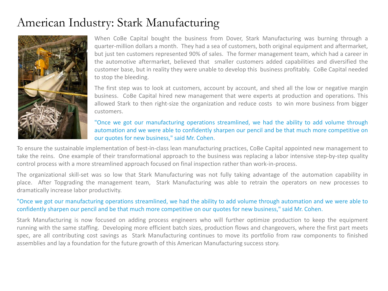## American Industry: Stark Manufacturing



When CoBe Capital bought the business from Dover, Stark Manufacturing was burning through a quarter-million dollars a month. They had a sea of customers, both original equipment and aftermarket, but just ten customers represented 90% of sales. The former management team, which had a career in the automotive aftermarket, believed that smaller customers added capabilities and diversified the customer base, but in reality they were unable to develop this business profitably. CoBe Capital needed to stop the bleeding.

The first step was to look at customers, account by account, and shed all the low or negative margin business. CoBe Capital hired new management that were experts at production and operations. This allowed Stark to then right-size the organization and reduce costs to win more business from bigger customers.

## "Once we got our manufacturing operations streamlined, we had the ability to add volume through automation and we were able to confidently sharpen our pencil and be that much more competitive on our quotes for new business," said Mr. Cohen.

To ensure the sustainable implementation of best-in-class lean manufacturing practices, CoBe Capital appointed new management to take the reins. One example of their transformational approach to the business was replacing a labor intensive step-by-step quality control process with a more streamlined approach focused on final inspection rather than work-in-process.

The organizational skill-set was so low that Stark Manufacturing was not fully taking advantage of the automation capability in place. After Topgrading the management team, Stark Manufacturing was able to retrain the operators on new processes to dramatically increase labor productivity.

## "Once we got our manufacturing operations streamlined, we had the ability to add volume through automation and we were able to confidently sharpen our pencil and be that much more competitive on our quotes for new business," said Mr. Cohen.

Stark Manufacturing is now focused on adding process engineers who will further optimize production to keep the equipment running with the same staffing. Developing more efficient batch sizes, production flows and changeovers, where the first part meets spec, are all contributing cost savings as Stark Manufacturing continues to move its portfolio from raw components to finished assemblies and lay a foundation for the future growth of this American Manufacturing success story.